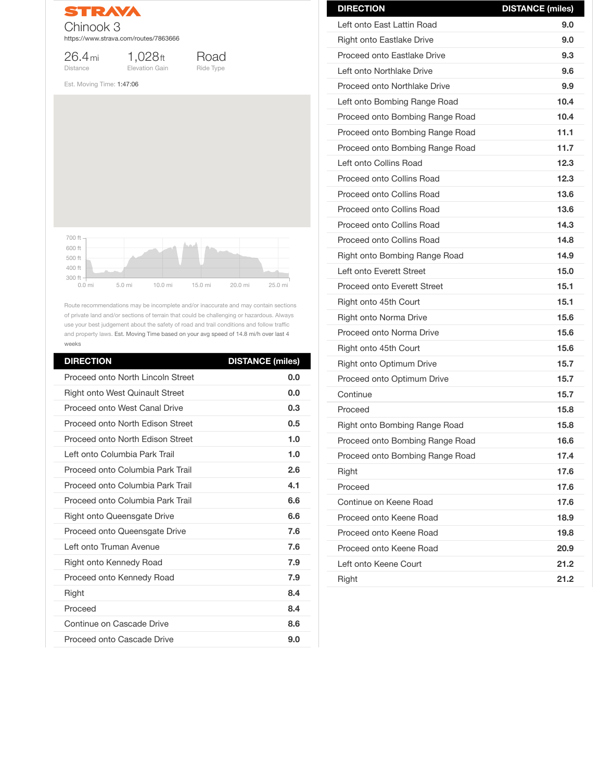

26.4mi Distance

1,028ft Elevation Gain



Est. Moving Time: 1:47:06

Route recommendations may be incomplete and/or inaccurate and may contain sections of private land and/or sections of terrain that could be challenging or hazardous. Always use your best judgement about the safety of road and trail conditions and follow traffic and property laws. Est. Moving Time based on your avg speed of 14.8 mi/h over last 4 weeks

| <b>DIRECTION</b>                         | <b>DISTANCE (miles)</b> |
|------------------------------------------|-------------------------|
| <b>Proceed onto North Lincoln Street</b> | 0.0                     |
| <b>Right onto West Quinault Street</b>   | 0.0                     |
| <b>Proceed onto West Canal Drive</b>     | 0.3                     |
| Proceed onto North Edison Street         | 0.5                     |
| Proceed onto North Edison Street         | 1.0                     |
| Left onto Columbia Park Trail            | 1.0                     |
| Proceed onto Columbia Park Trail         | 2.6                     |
| Proceed onto Columbia Park Trail         | 4.1                     |
| Proceed onto Columbia Park Trail         | 6.6                     |
| <b>Right onto Queensgate Drive</b>       | 6.6                     |
| <b>Proceed onto Queensgate Drive</b>     | 7.6                     |
| Left onto Truman Avenue                  | 7.6                     |
| <b>Right onto Kennedy Road</b>           | 7.9                     |
| <b>Proceed onto Kennedy Road</b>         | 7.9                     |
| <b>Right</b>                             | 8.4                     |
| Proceed                                  | 8.4                     |
| <b>Continue on Cascade Drive</b>         | 8.6                     |
| <b>Proceed onto Cascade Drive</b>        | 9.0                     |



| <b>DIRECTION</b>                     | <b>DISTANCE (miles)</b> |
|--------------------------------------|-------------------------|
| Left onto East Lattin Road           | 9.0                     |
| <b>Right onto Eastlake Drive</b>     | 9.0                     |
| <b>Proceed onto Eastlake Drive</b>   | 9.3                     |
| Left onto Northlake Drive            | 9.6                     |
| Proceed onto Northlake Drive         | 9.9                     |
| Left onto Bombing Range Road         | 10.4                    |
| Proceed onto Bombing Range Road      | 10.4                    |
| Proceed onto Bombing Range Road      | 11.1                    |
| Proceed onto Bombing Range Road      | 11.7                    |
| Left onto Collins Road               | 12.3                    |
| <b>Proceed onto Collins Road</b>     | 12.3                    |
| <b>Proceed onto Collins Road</b>     | 13.6                    |
| <b>Proceed onto Collins Road</b>     | 13.6                    |
| <b>Proceed onto Collins Road</b>     | 14.3                    |
| <b>Proceed onto Collins Road</b>     | 14.8                    |
| <b>Right onto Bombing Range Road</b> | 14.9                    |
| Left onto Everett Street             | 15.0                    |
| <b>Proceed onto Everett Street</b>   | 15.1                    |
| Right onto 45th Court                | 15.1                    |
| Right onto Norma Drive               | 15.6                    |
| Proceed onto Norma Drive             | 15.6                    |
| Right onto 45th Court                | 15.6                    |
| <b>Right onto Optimum Drive</b>      | 15.7                    |
| <b>Proceed onto Optimum Drive</b>    | 15.7                    |
| Continue                             | 15.7                    |
| Proceed                              | 15.8                    |
| <b>Right onto Bombing Range Road</b> | 15.8                    |
| Proceed onto Bombing Range Road      | 16.6                    |
| Proceed onto Bombing Range Road      | 17.4                    |
| <b>Right</b>                         | 17.6                    |

| Proceed                 | 17.6 |
|-------------------------|------|
| Continue on Keene Road  | 17.6 |
| Proceed onto Keene Road | 18.9 |
| Proceed onto Keene Road | 19.8 |
| Proceed onto Keene Road | 20.9 |
| Left onto Keene Court   | 21.2 |
| <b>Right</b>            | 21.2 |